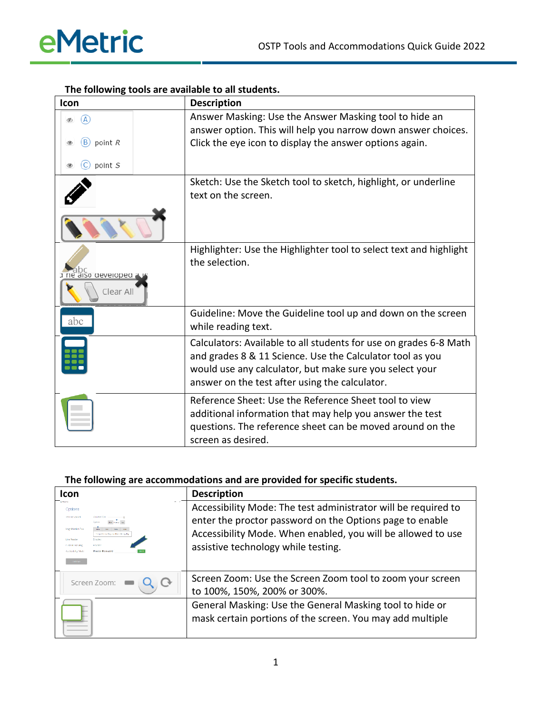| Icon                             | <b>Description</b>                                                                                                                                                                                                                          |
|----------------------------------|---------------------------------------------------------------------------------------------------------------------------------------------------------------------------------------------------------------------------------------------|
| $\left(\overline{A}\right)$<br>D | Answer Masking: Use the Answer Masking tool to hide an<br>answer option. This will help you narrow down answer choices.                                                                                                                     |
| point $R$<br>B)                  | Click the eye icon to display the answer options again.                                                                                                                                                                                     |
| point S                          |                                                                                                                                                                                                                                             |
|                                  | Sketch: Use the Sketch tool to sketch, highlight, or underline<br>text on the screen.                                                                                                                                                       |
|                                  |                                                                                                                                                                                                                                             |
| a ne also developed<br>Clear All | Highlighter: Use the Highlighter tool to select text and highlight<br>the selection.                                                                                                                                                        |
| abc                              | Guideline: Move the Guideline tool up and down on the screen<br>while reading text.                                                                                                                                                         |
|                                  | Calculators: Available to all students for use on grades 6-8 Math<br>and grades 8 & 11 Science. Use the Calculator tool as you<br>would use any calculator, but make sure you select your<br>answer on the test after using the calculator. |
|                                  | Reference Sheet: Use the Reference Sheet tool to view<br>additional information that may help you answer the test<br>questions. The reference sheet can be moved around on the<br>screen as desired.                                        |

## **The following tools are available to all students.**

## **The following are accommodations and are provided for specific students.**

| Icon                                                                                                                                                                                                     | <b>Description</b>                                                                                                                                                                                                                |
|----------------------------------------------------------------------------------------------------------------------------------------------------------------------------------------------------------|-----------------------------------------------------------------------------------------------------------------------------------------------------------------------------------------------------------------------------------|
| Options<br><b>Text to Screed</b><br>Magnification Tool<br>to get kilopen for princed even the tax do<br><b>Enabled</b><br>Line Reader<br>Cardom Motvins<br><b>Procteur Passeaver</b><br>Accessiblity Mod | Accessibility Mode: The test administrator will be required to<br>enter the proctor password on the Options page to enable<br>Accessibility Mode. When enabled, you will be allowed to use<br>assistive technology while testing. |
| Screen Zoom:                                                                                                                                                                                             | Screen Zoom: Use the Screen Zoom tool to zoom your screen<br>to 100%, 150%, 200% or 300%.                                                                                                                                         |
|                                                                                                                                                                                                          | General Masking: Use the General Masking tool to hide or<br>mask certain portions of the screen. You may add multiple                                                                                                             |